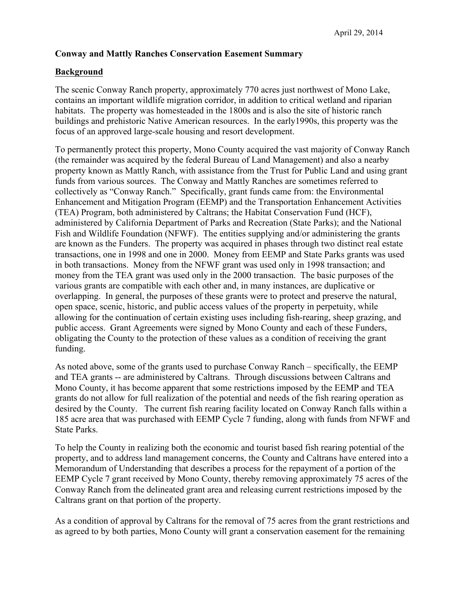### **Conway and Mattly Ranches Conservation Easement Summary**

# **Background**

The scenic Conway Ranch property, approximately 770 acres just northwest of Mono Lake, contains an important wildlife migration corridor, in addition to critical wetland and riparian habitats. The property was homesteaded in the 1800s and is also the site of historic ranch buildings and prehistoric Native American resources. In the early1990s, this property was the focus of an approved large-scale housing and resort development.

To permanently protect this property, Mono County acquired the vast majority of Conway Ranch (the remainder was acquired by the federal Bureau of Land Management) and also a nearby property known as Mattly Ranch, with assistance from the Trust for Public Land and using grant funds from various sources. The Conway and Mattly Ranches are sometimes referred to collectively as "Conway Ranch." Specifically, grant funds came from: the Environmental Enhancement and Mitigation Program (EEMP) and the Transportation Enhancement Activities (TEA) Program, both administered by Caltrans; the Habitat Conservation Fund (HCF), administered by California Department of Parks and Recreation (State Parks); and the National Fish and Wildlife Foundation (NFWF). The entities supplying and/or administering the grants are known as the Funders. The property was acquired in phases through two distinct real estate transactions, one in 1998 and one in 2000. Money from EEMP and State Parks grants was used in both transactions. Money from the NFWF grant was used only in 1998 transaction; and money from the TEA grant was used only in the 2000 transaction. The basic purposes of the various grants are compatible with each other and, in many instances, are duplicative or overlapping. In general, the purposes of these grants were to protect and preserve the natural, open space, scenic, historic, and public access values of the property in perpetuity, while allowing for the continuation of certain existing uses including fish-rearing, sheep grazing, and public access. Grant Agreements were signed by Mono County and each of these Funders, obligating the County to the protection of these values as a condition of receiving the grant funding.

As noted above, some of the grants used to purchase Conway Ranch – specifically, the EEMP and TEA grants -- are administered by Caltrans. Through discussions between Caltrans and Mono County, it has become apparent that some restrictions imposed by the EEMP and TEA grants do not allow for full realization of the potential and needs of the fish rearing operation as desired by the County. The current fish rearing facility located on Conway Ranch falls within a 185 acre area that was purchased with EEMP Cycle 7 funding, along with funds from NFWF and State Parks.

To help the County in realizing both the economic and tourist based fish rearing potential of the property, and to address land management concerns, the County and Caltrans have entered into a Memorandum of Understanding that describes a process for the repayment of a portion of the EEMP Cycle 7 grant received by Mono County, thereby removing approximately 75 acres of the Conway Ranch from the delineated grant area and releasing current restrictions imposed by the Caltrans grant on that portion of the property.

As a condition of approval by Caltrans for the removal of 75 acres from the grant restrictions and as agreed to by both parties, Mono County will grant a conservation easement for the remaining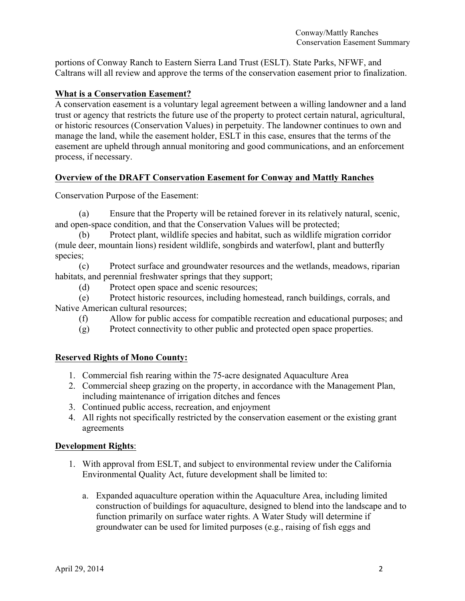portions of Conway Ranch to Eastern Sierra Land Trust (ESLT). State Parks, NFWF, and Caltrans will all review and approve the terms of the conservation easement prior to finalization.

### **What is a Conservation Easement?**

A conservation easement is a voluntary legal agreement between a willing landowner and a land trust or agency that restricts the future use of the property to protect certain natural, agricultural, or historic resources (Conservation Values) in perpetuity. The landowner continues to own and manage the land, while the easement holder, ESLT in this case, ensures that the terms of the easement are upheld through annual monitoring and good communications, and an enforcement process, if necessary.

#### **Overview of the DRAFT Conservation Easement for Conway and Mattly Ranches**

Conservation Purpose of the Easement:

(a) Ensure that the Property will be retained forever in its relatively natural, scenic, and open-space condition, and that the Conservation Values will be protected;

(b) Protect plant, wildlife species and habitat, such as wildlife migration corridor (mule deer, mountain lions) resident wildlife, songbirds and waterfowl, plant and butterfly species;

(c) Protect surface and groundwater resources and the wetlands, meadows, riparian habitats, and perennial freshwater springs that they support;

(d) Protect open space and scenic resources;

(e) Protect historic resources, including homestead, ranch buildings, corrals, and Native American cultural resources;

- (f) Allow for public access for compatible recreation and educational purposes; and
- (g) Protect connectivity to other public and protected open space properties.

#### **Reserved Rights of Mono County:**

- 1. Commercial fish rearing within the 75-acre designated Aquaculture Area
- 2. Commercial sheep grazing on the property, in accordance with the Management Plan, including maintenance of irrigation ditches and fences
- 3. Continued public access, recreation, and enjoyment
- 4. All rights not specifically restricted by the conservation easement or the existing grant agreements

#### **Development Rights**:

- 1. With approval from ESLT, and subject to environmental review under the California Environmental Quality Act, future development shall be limited to:
	- a. Expanded aquaculture operation within the Aquaculture Area, including limited construction of buildings for aquaculture, designed to blend into the landscape and to function primarily on surface water rights. A Water Study will determine if groundwater can be used for limited purposes (e.g., raising of fish eggs and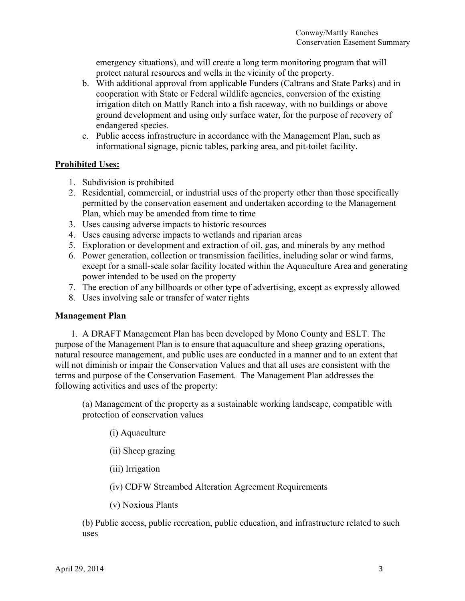emergency situations), and will create a long term monitoring program that will protect natural resources and wells in the vicinity of the property.

- b. With additional approval from applicable Funders (Caltrans and State Parks) and in cooperation with State or Federal wildlife agencies, conversion of the existing irrigation ditch on Mattly Ranch into a fish raceway, with no buildings or above ground development and using only surface water, for the purpose of recovery of endangered species.
- c. Public access infrastructure in accordance with the Management Plan, such as informational signage, picnic tables, parking area, and pit-toilet facility.

### **Prohibited Uses:**

- 1. Subdivision is prohibited
- 2. Residential, commercial, or industrial uses of the property other than those specifically permitted by the conservation easement and undertaken according to the Management Plan, which may be amended from time to time
- 3. Uses causing adverse impacts to historic resources
- 4. Uses causing adverse impacts to wetlands and riparian areas
- 5. Exploration or development and extraction of oil, gas, and minerals by any method
- 6. Power generation, collection or transmission facilities, including solar or wind farms, except for a small-scale solar facility located within the Aquaculture Area and generating power intended to be used on the property
- 7. The erection of any billboards or other type of advertising, except as expressly allowed
- 8. Uses involving sale or transfer of water rights

# **Management Plan**

 1. A DRAFT Management Plan has been developed by Mono County and ESLT. The purpose of the Management Plan is to ensure that aquaculture and sheep grazing operations, natural resource management, and public uses are conducted in a manner and to an extent that will not diminish or impair the Conservation Values and that all uses are consistent with the terms and purpose of the Conservation Easement. The Management Plan addresses the following activities and uses of the property:

(a) Management of the property as a sustainable working landscape, compatible with protection of conservation values

(i) Aquaculture

(ii) Sheep grazing

(iii) Irrigation

(iv) CDFW Streambed Alteration Agreement Requirements

(v) Noxious Plants

(b) Public access, public recreation, public education, and infrastructure related to such uses